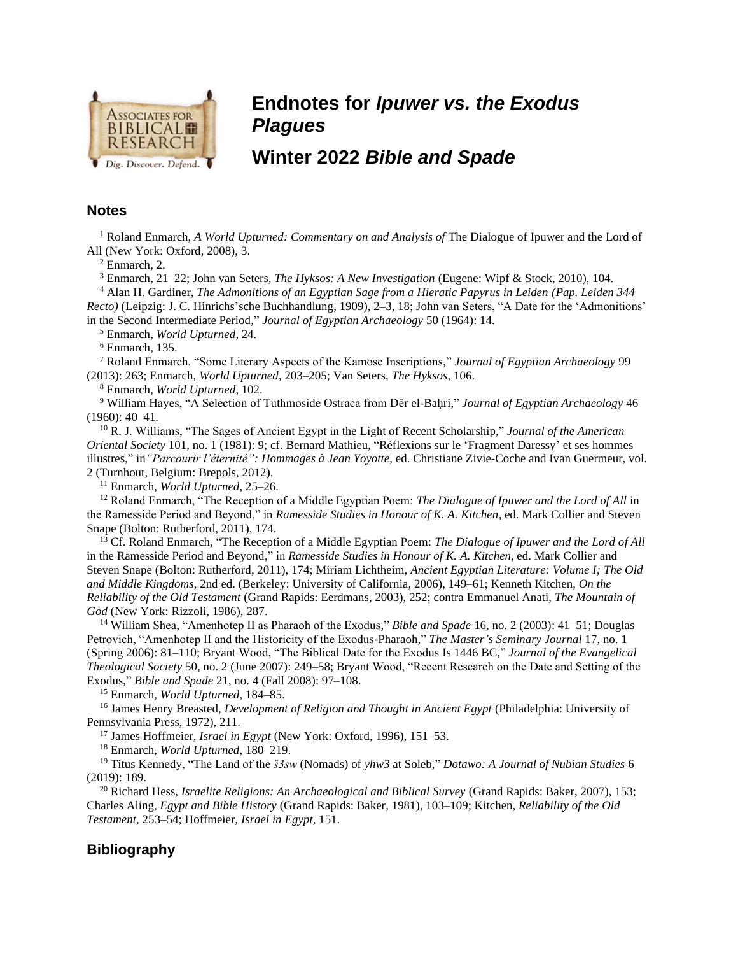

## **Endnotes for** *Ipuwer vs. the Exodus Plagues*

## **Winter 2022** *Bible and Spade*

## **Notes**

<sup>1</sup> Roland Enmarch, *A World Upturned: Commentary on and Analysis of* The Dialogue of Ipuwer and the Lord of All (New York: Oxford, 2008), 3.

<sup>2</sup> Enmarch, 2.

<sup>3</sup> Enmarch, 21–22; John van Seters, *The Hyksos: A New Investigation* (Eugene: Wipf & Stock, 2010), 104.

<sup>4</sup> Alan H. Gardiner, *The Admonitions of an Egyptian Sage from a Hieratic Papyrus in Leiden (Pap. Leiden 344 Recto)* (Leipzig: J. C. Hinrichs'sche Buchhandlung, 1909), 2–3, 18; John van Seters, "A Date for the 'Admonitions' in the Second Intermediate Period," *Journal of Egyptian Archaeology* 50 (1964): 14.

<sup>5</sup> Enmarch, *World Upturned*, 24.

 $6$  Enmarch, 135.

<sup>7</sup> Roland Enmarch, "Some Literary Aspects of the Kamose Inscriptions," *Journal of Egyptian Archaeology* 99 (2013): 263; Enmarch, *World Upturned*, 203–205; Van Seters, *The Hyksos*, 106.

<sup>8</sup> Enmarch, *World Upturned*, 102.

<sup>9</sup> William Hayes, "A Selection of Tuthmoside Ostraca from Dēr el-Baḥri," *Journal of Egyptian Archaeology* 46 (1960): 40–41.

<sup>10</sup> R. J. Williams, "The Sages of Ancient Egypt in the Light of Recent Scholarship," *Journal of the American Oriental Society* 101, no. 1 (1981): 9; cf. Bernard Mathieu, "Réflexions sur le 'Fragment Daressy' et ses hommes illustres," in*"Parcourir l'éternité": Hommages à Jean Yoyotte*, ed. Christiane Zivie-Coche and Ivan Guermeur, vol. 2 (Turnhout, Belgium: Brepols, 2012).

<sup>11</sup> Enmarch, *World Upturned*, 25–26.

<sup>12</sup> Roland Enmarch, "The Reception of a Middle Egyptian Poem: *The Dialogue of Ipuwer and the Lord of All* in the Ramesside Period and Beyond," in *Ramesside Studies in Honour of K. A. Kitchen*, ed. Mark Collier and Steven Snape (Bolton: Rutherford, 2011), 174.

<sup>13</sup> Cf. Roland Enmarch, "The Reception of a Middle Egyptian Poem: *The Dialogue of Ipuwer and the Lord of All* in the Ramesside Period and Beyond," in *Ramesside Studies in Honour of K. A. Kitchen*, ed. Mark Collier and Steven Snape (Bolton: Rutherford, 2011), 174; Miriam Lichtheim, *Ancient Egyptian Literature: Volume I; The Old and Middle Kingdoms*, 2nd ed. (Berkeley: University of California, 2006), 149–61; Kenneth Kitchen, *On the Reliability of the Old Testament* (Grand Rapids: Eerdmans, 2003), 252; contra Emmanuel Anati, *The Mountain of God* (New York: Rizzoli, 1986), 287.

<sup>14</sup> William Shea, "Amenhotep II as Pharaoh of the Exodus," *Bible and Spade* 16, no. 2 (2003): 41–51; Douglas Petrovich, "Amenhotep II and the Historicity of the Exodus-Pharaoh," *The Master's Seminary Journal* 17, no. 1 (Spring 2006): 81–110; Bryant Wood, "The Biblical Date for the Exodus Is 1446 BC," *Journal of the Evangelical Theological Society* 50, no. 2 (June 2007): 249–58; Bryant Wood, "Recent Research on the Date and Setting of the Exodus," *Bible and Spade* 21, no. 4 (Fall 2008): 97–108.

<sup>15</sup> Enmarch, *World Upturned*, 184–85.

<sup>16</sup> James Henry Breasted, *Development of Religion and Thought in Ancient Egypt* (Philadelphia: University of Pennsylvania Press, 1972), 211.

<sup>17</sup> James Hoffmeier, *Israel in Egypt* (New York: Oxford, 1996), 151–53.

<sup>18</sup> Enmarch, *World Upturned*, 180–219.

<sup>19</sup> Titus Kennedy, "The Land of the *š3sw* (Nomads) of *yhw3* at Soleb," *Dotawo: A Journal of Nubian Studies* 6 (2019): 189.

<sup>20</sup> Richard Hess, *Israelite Religions: An Archaeological and Biblical Survey* (Grand Rapids: Baker, 2007), 153; Charles Aling, *Egypt and Bible History* (Grand Rapids: Baker, 1981), 103–109; Kitchen, *Reliability of the Old Testament*, 253–54; Hoffmeier, *Israel in Egypt*, 151.

## **Bibliography**